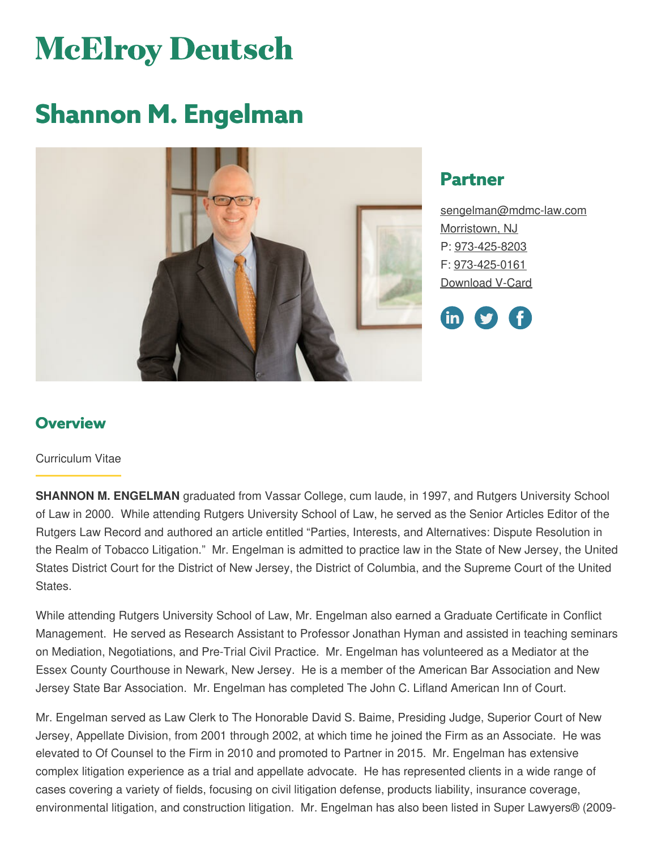# **McElroy Deutsch**

## **Shannon M. Engelman**



## **Partner**

[sengelman@mdmc-law.com](mailto:sengelman@mdmc-law.com) [Morristown,](https://www.mdmc-law.com/offices/morristown) NJ P: [973-425-8203](tel:973-425-8203) F: [973-425-0161](tel:973-425-0161) [Download](https://www.mdmc-law.com/node/89/vcard) V-Card



## **Overview**

#### Curriculum Vitae

**SHANNON M. ENGELMAN** graduated from Vassar College, cum laude, in 1997, and Rutgers University School of Law in 2000. While attending Rutgers University School of Law, he served as the Senior Articles Editor of the Rutgers Law Record and authored an article entitled "Parties, Interests, and Alternatives: Dispute Resolution in the Realm of Tobacco Litigation." Mr. Engelman is admitted to practice law in the State of New Jersey, the United States District Court for the District of New Jersey, the District of Columbia, and the Supreme Court of the United States.

While attending Rutgers University School of Law, Mr. Engelman also earned a Graduate Certificate in Conflict Management. He served as Research Assistant to Professor Jonathan Hyman and assisted in teaching seminars on Mediation, Negotiations, and Pre-Trial Civil Practice. Mr. Engelman has volunteered as a Mediator at the Essex County Courthouse in Newark, New Jersey. He is a member of the American Bar Association and New Jersey State Bar Association. Mr. Engelman has completed The John C. Lifland American Inn of Court.

Mr. Engelman served as Law Clerk to The Honorable David S. Baime, Presiding Judge, Superior Court of New Jersey, Appellate Division, from 2001 through 2002, at which time he joined the Firm as an Associate. He was elevated to Of Counsel to the Firm in 2010 and promoted to Partner in 2015. Mr. Engelman has extensive complex litigation experience as a trial and appellate advocate. He has represented clients in a wide range of cases covering a variety of fields, focusing on civil litigation defense, products liability, insurance coverage, environmental litigation, and construction litigation. Mr. Engelman has also been listed in Super Lawyers® (2009